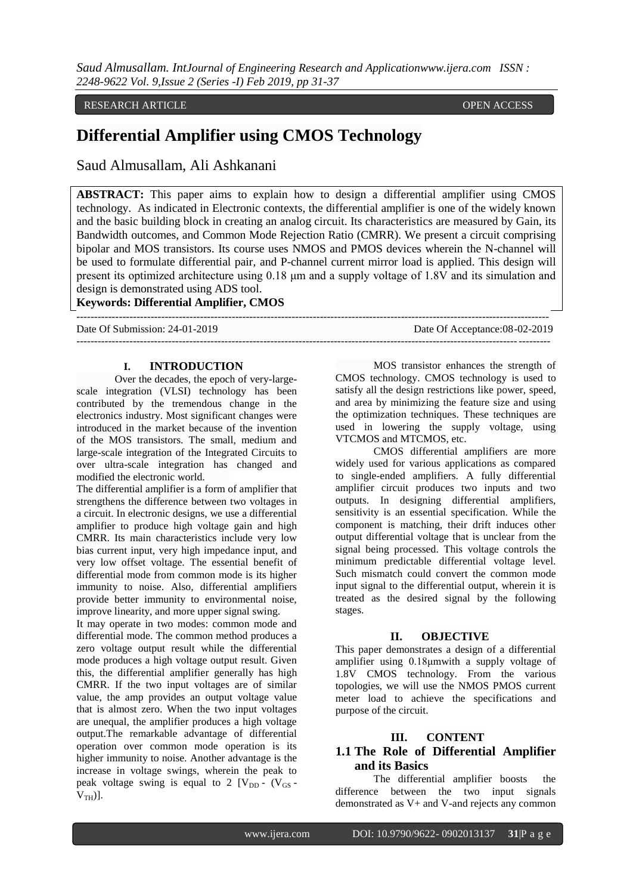#### RESEARCH ARTICLE OPEN ACCESS

# **Differential Amplifier using CMOS Technology**

Saud Almusallam, Ali Ashkanani

**ABSTRACT:** This paper aims to explain how to design a differential amplifier using CMOS technology. As indicated in Electronic contexts, the differential amplifier is one of the widely known and the basic building block in creating an analog circuit. Its characteristics are measured by Gain, its Bandwidth outcomes, and Common Mode Rejection Ratio (CMRR). We present a circuit comprising bipolar and MOS transistors. Its course uses NMOS and PMOS devices wherein the N-channel will be used to formulate differential pair, and P-channel current mirror load is applied. This design will present its optimized architecture using 0.18 μm and a supply voltage of 1.8V and its simulation and design is demonstrated using ADS tool.

## **Keywords: Differential Amplifier, CMOS**

-------------------------------------------------------------------------------------------------------------------------------------- Date Of Submission: 24-01-2019 Date Of Acceptance:08-02-2019 --------------------------------------------------------------------------------------------------------------------------------------

#### **I. INTRODUCTION**

Over the decades, the epoch of very-largescale integration (VLSI) technology has been contributed by the tremendous change in the electronics industry. Most significant changes were introduced in the market because of the invention of the MOS transistors. The small, medium and large-scale integration of the Integrated Circuits to over ultra-scale integration has changed and modified the electronic world.

The differential amplifier is a form of amplifier that strengthens the difference between two voltages in a circuit. In electronic designs, we use a differential amplifier to produce high voltage gain and high CMRR. Its main characteristics include very low bias current input, very high impedance input, and very low offset voltage. The essential benefit of differential mode from common mode is its higher immunity to noise. Also, differential amplifiers provide better immunity to environmental noise, improve linearity, and more upper signal swing.

It may operate in two modes: common mode and differential mode. The common method produces a zero voltage output result while the differential mode produces a high voltage output result. Given this, the differential amplifier generally has high CMRR. If the two input voltages are of similar value, the amp provides an output voltage value that is almost zero. When the two input voltages are unequal, the amplifier produces a high voltage output.The remarkable advantage of differential operation over common mode operation is its higher immunity to noise. Another advantage is the increase in voltage swings, wherein the peak to peak voltage swing is equal to 2  $[V_{DD} - (V_{GS} V<sub>TH</sub>$ ].

MOS transistor enhances the strength of CMOS technology. CMOS technology is used to satisfy all the design restrictions like power, speed, and area by minimizing the feature size and using the optimization techniques. These techniques are used in lowering the supply voltage, using VTCMOS and MTCMOS, etc.

CMOS differential amplifiers are more widely used for various applications as compared to single-ended amplifiers. A fully differential amplifier circuit produces two inputs and two outputs. In designing differential amplifiers, sensitivity is an essential specification. While the component is matching, their drift induces other output differential voltage that is unclear from the signal being processed. This voltage controls the minimum predictable differential voltage level. Such mismatch could convert the common mode input signal to the differential output, wherein it is treated as the desired signal by the following stages.

#### **II. OBJECTIVE**

This paper demonstrates a design of a differential amplifier using 0.18μmwith a supply voltage of 1.8V CMOS technology. From the various topologies, we will use the NMOS PMOS current meter load to achieve the specifications and purpose of the circuit.

#### **III. CONTENT**

# **1.1 The Role of Differential Amplifier and its Basics**

The differential amplifier boosts the difference between the two input signals demonstrated as V+ and V-and rejects any common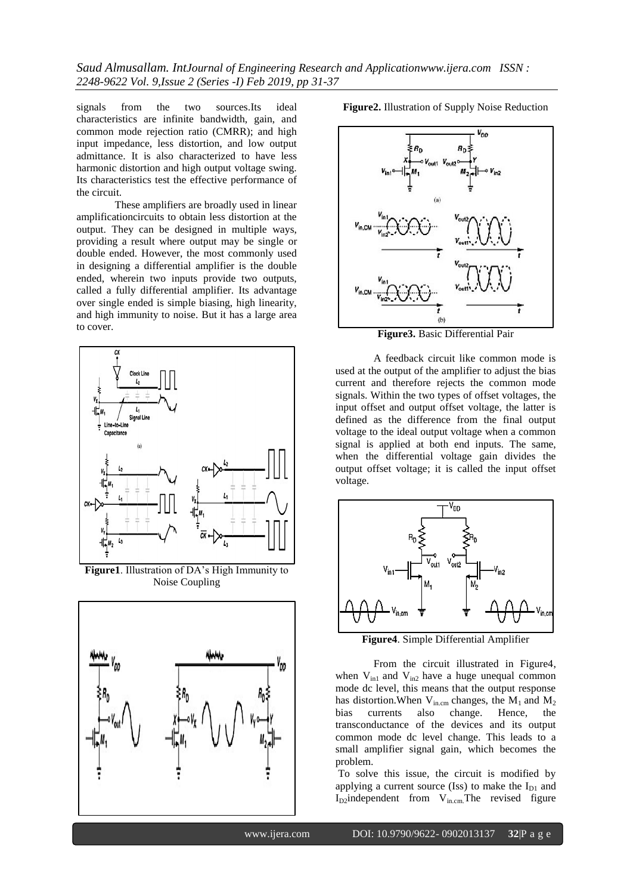*Saud Almusallam. IntJournal of Engineering Research and Applicationwww.ijera.com ISSN : 2248-9622 Vol. 9,Issue 2 (Series -I) Feb 2019, pp 31-37*

signals from the two sources.Its ideal characteristics are infinite bandwidth, gain, and common mode rejection ratio (CMRR); and high input impedance, less distortion, and low output admittance. It is also characterized to have less harmonic distortion and high output voltage swing. Its characteristics test the effective performance of the circuit.

These amplifiers are broadly used in linear amplificationcircuits to obtain less distortion at the output. They can be designed in multiple ways, providing a result where output may be single or double ended. However, the most commonly used in designing a differential amplifier is the double ended, wherein two inputs provide two outputs, called a fully differential amplifier. Its advantage over single ended is simple biasing, high linearity, and high immunity to noise. But it has a large area to cover.



**Figure1**. Illustration of DA's High Immunity to Noise Coupling







**Figure3.** Basic Differential Pair

A feedback circuit like common mode is used at the output of the amplifier to adjust the bias current and therefore rejects the common mode signals. Within the two types of offset voltages, the input offset and output offset voltage, the latter is defined as the difference from the final output voltage to the ideal output voltage when a common signal is applied at both end inputs. The same, when the differential voltage gain divides the output offset voltage; it is called the input offset voltage.



**Figure4**. Simple Differential Amplifier

From the circuit illustrated in Figure4, when  $V_{in1}$  and  $V_{in2}$  have a huge unequal common mode dc level, this means that the output response has distortion. When  $V_{in, cm}$  changes, the  $M_1$  and  $M_2$ bias currents also change. Hence, the transconductance of the devices and its output common mode dc level change. This leads to a small amplifier signal gain, which becomes the problem.

To solve this issue, the circuit is modified by applying a current source (Iss) to make the  $I_{D1}$  and  $I_{D2}$ independent from  $V_{in.cm}$ . The revised figure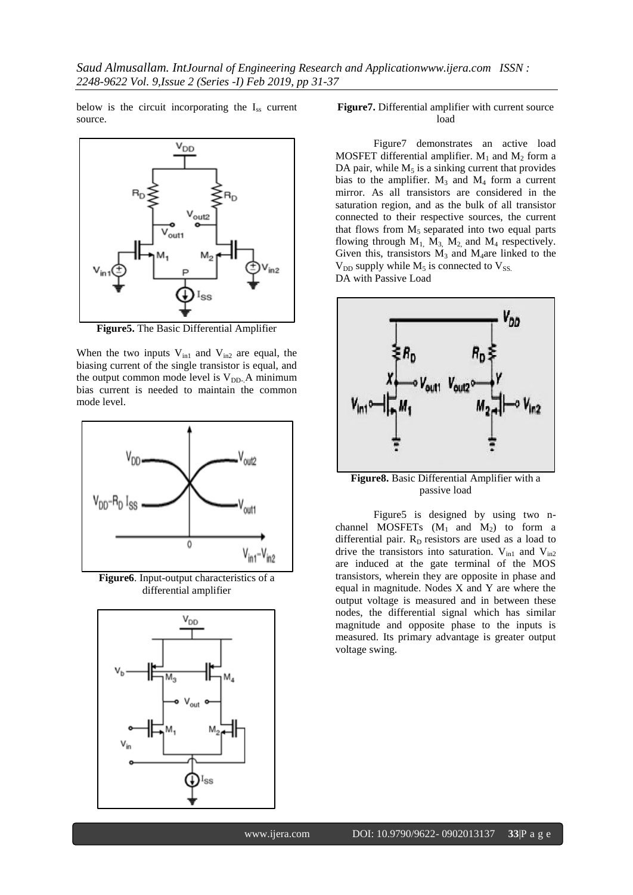below is the circuit incorporating the  $I_{ss}$  current source.



**Figure5.** The Basic Differential Amplifier

When the two inputs  $V_{in1}$  and  $V_{in2}$  are equal, the biasing current of the single transistor is equal, and the output common mode level is  $V_{DD}$ . A minimum bias current is needed to maintain the common mode level.



**Figure6**. Input-output characteristics of a differential amplifier



#### **Figure7.** Differential amplifier with current source load

Figure7 demonstrates an active load MOSFET differential amplifier.  $M_1$  and  $M_2$  form a DA pair, while  $M_5$  is a sinking current that provides bias to the amplifier.  $M_3$  and  $M_4$  form a current mirror. As all transistors are considered in the saturation region, and as the bulk of all transistor connected to their respective sources, the current that flows from  $M_5$  separated into two equal parts flowing through  $M_1$ ,  $M_3$ ,  $M_2$ , and  $M_4$  respectively. Given this, transistors  $M_3$  and  $M_4$ are linked to the  $V_{DD}$  supply while  $M_5$  is connected to  $V_{SS}$ . DA with Passive Load



**Figure8.** Basic Differential Amplifier with a passive load

Figure5 is designed by using two nchannel MOSFETs  $(M_1 \text{ and } M_2)$  to form a differential pair.  $R_D$  resistors are used as a load to drive the transistors into saturation.  $V_{in1}$  and  $V_{in2}$ are induced at the gate terminal of the MOS transistors, wherein they are opposite in phase and equal in magnitude. Nodes X and Y are where the output voltage is measured and in between these nodes, the differential signal which has similar magnitude and opposite phase to the inputs is measured. Its primary advantage is greater output voltage swing.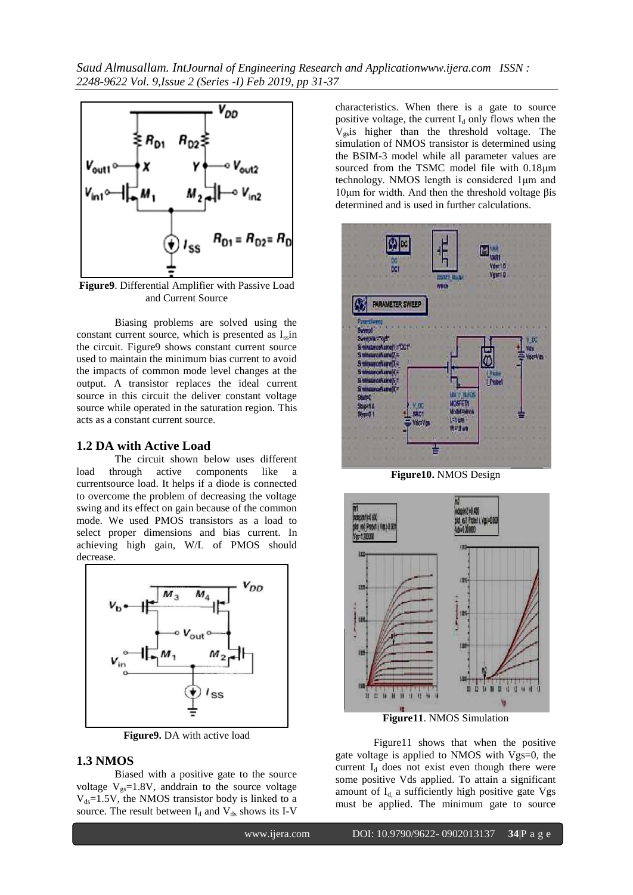*Saud Almusallam. IntJournal of Engineering Research and Applicationwww.ijera.com ISSN : 2248-9622 Vol. 9,Issue 2 (Series -I) Feb 2019, pp 31-37*



**Figure9**. Differential Amplifier with Passive Load and Current Source

Biasing problems are solved using the constant current source, which is presented as  $I<sub>ss</sub>$  in the circuit. Figure9 shows constant current source used to maintain the minimum bias current to avoid the impacts of common mode level changes at the output. A transistor replaces the ideal current source in this circuit the deliver constant voltage source while operated in the saturation region. This acts as a constant current source.

#### **1.2 DA with Active Load**

The circuit shown below uses different load through active components like a currentsource load. It helps if a diode is connected to overcome the problem of decreasing the voltage swing and its effect on gain because of the common mode. We used PMOS transistors as a load to select proper dimensions and bias current. In achieving high gain, W/L of PMOS should decrease.



**Figure9.** DA with active load

# **1.3 NMOS**

Biased with a positive gate to the source voltage  $V_{gs}=1.8V$ , anddrain to the source voltage  $V_{ds}$ =1.5V, the NMOS transistor body is linked to a source. The result between  $I_d$  and  $V_{ds}$  shows its I-V characteristics. When there is a gate to source positive voltage, the current  $I_d$  only flows when the  $V_{gs}$  is higher than the threshold voltage. The simulation of NMOS transistor is determined using the BSIM-3 model while all parameter values are sourced from the TSMC model file with 0.18μm technology. NMOS length is considered 1μm and 10μm for width. And then the threshold voltage βis determined and is used in further calculations.



**Figure10.** NMOS Design



**Figure11**. NMOS Simulation

Figure11 shows that when the positive gate voltage is applied to NMOS with Vgs=0, the current  $I_d$  does not exist even though there were some positive Vds applied. To attain a significant amount of  $I_d$  a sufficiently high positive gate Vgs must be applied. The minimum gate to source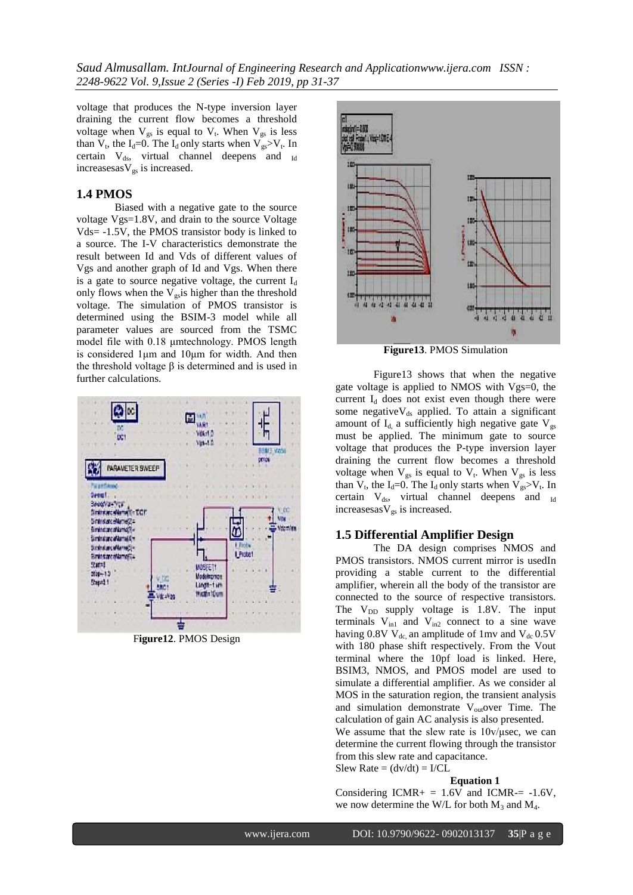voltage that produces the N-type inversion layer draining the current flow becomes a threshold voltage when  $V_{gs}$  is equal to  $V_t$ . When  $V_{gs}$  is less than  $V_t$ , the I<sub>d</sub>=0. The I<sub>d</sub> only starts when  $V_{gs} > V_t$ . In certain  $V_{ds}$ , virtual channel deepens and  $_{Id}$ increasesas $V_{gs}$  is increased.

## **1.4 PMOS**

Biased with a negative gate to the source voltage Vgs=1.8V, and drain to the source Voltage Vds= -1.5V, the PMOS transistor body is linked to a source. The I-V characteristics demonstrate the result between Id and Vds of different values of Vgs and another graph of Id and Vgs. When there is a gate to source negative voltage, the current  $I_d$ only flows when the  $V_{gs}$  is higher than the threshold voltage. The simulation of PMOS transistor is determined using the BSIM-3 model while all parameter values are sourced from the TSMC model file with 0.18 μmtechnology. PMOS length is considered 1μm and 10μm for width. And then the threshold voltage  $β$  is determined and is used in further calculations.



F**igure12**. PMOS Design



**Figure13**. PMOS Simulation

Figure13 shows that when the negative gate voltage is applied to NMOS with Vgs=0, the current  $I_d$  does not exist even though there were some negative $V_{ds}$  applied. To attain a significant amount of  $I_d$  a sufficiently high negative gate  $V_{gs}$ must be applied. The minimum gate to source voltage that produces the P-type inversion layer draining the current flow becomes a threshold voltage when  $V_{gs}$  is equal to  $V_t$ . When  $V_{gs}$  is less than  $V_t$ , the I<sub>d</sub>=0. The I<sub>d</sub> only starts when  $V_{gs} > V_t$ . In certain  $V_{ds}$ , virtual channel deepens and  $_{Id}$ increasesas $V_{gs}$  is increased.

# **1.5 Differential Amplifier Design**

The DA design comprises NMOS and PMOS transistors. NMOS current mirror is usedIn providing a stable current to the differential amplifier, wherein all the body of the transistor are connected to the source of respective transistors. The  $V_{DD}$  supply voltage is 1.8V. The input terminals  $V_{in1}$  and  $V_{in2}$  connect to a sine wave having 0.8V  $V_{dc}$  an amplitude of 1mv and  $V_{dc}$  0.5V with 180 phase shift respectively. From the Vout terminal where the 10pf load is linked. Here, BSIM3, NMOS, and PMOS model are used to simulate a differential amplifier. As we consider al MOS in the saturation region, the transient analysis and simulation demonstrate  $V_{out}$ over Time. The calculation of gain AC analysis is also presented.

We assume that the slew rate is 10v/μsec, we can determine the current flowing through the transistor from this slew rate and capacitance. Slew Rate  $= (dv/dt) = I/CL$ 

#### **Equation 1**

Considering  $ICMR + = 1.6V$  and  $ICMR = -1.6V$ , we now determine the W/L for both  $M_3$  and  $M_4$ .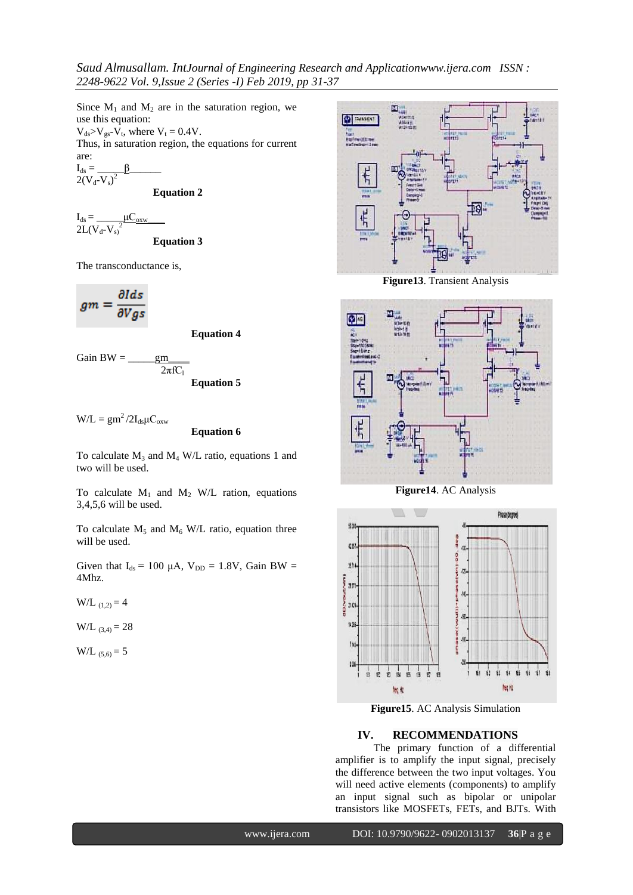Since  $M_1$  and  $M_2$  are in the saturation region, we use this equation:  $V_{ds} > V_{gs} - V_t$ , where  $V_t = 0.4V$ . Thus, in saturation region, the equations for current are:  $I_{ds} = \underline{\beta}$  $2(V_d - V_s)^2$ 

**Equation 2**

$$
I_{ds} = \underbrace{-\mu C_{oxw}}_{2L(V_d - V_s)^2}
$$

**Equation 3**

The transconductance is,

$$
gm=\frac{\partial{lds}}{\partial Vgs}
$$

**Equation 4**

**Equation 6**

Gain BW = 
$$
\underline{\frac{gm}{2\pi fC_1}}
$$
 Equation 5

 $W/L = gm^2/2I_{ds}\mu C_{oxw}$ 

To calculate  $M_3$  and  $M_4$  W/L ratio, equations 1 and two will be used.

To calculate  $M_1$  and  $M_2$  W/L ration, equations 3,4,5,6 will be used.

To calculate  $M_5$  and  $M_6$  W/L ratio, equation three will be used.

Given that  $I_{ds}$  = 100  $\mu$ A,  $V_{DD}$  = 1.8V, Gain BW = 4Mhz.

 $W/L$  (1,2) = 4

 $W/L$  (3,4) = 28

W/L  $_{(5,6)} = 5$ 



**Figure13**. Transient Analysis



**Figure14**. AC Analysis



**Figure15**. AC Analysis Simulation

## **IV. RECOMMENDATIONS**

The primary function of a differential amplifier is to amplify the input signal, precisely the difference between the two input voltages. You will need active elements (components) to amplify an input signal such as bipolar or unipolar transistors like MOSFETs, FETs, and BJTs. With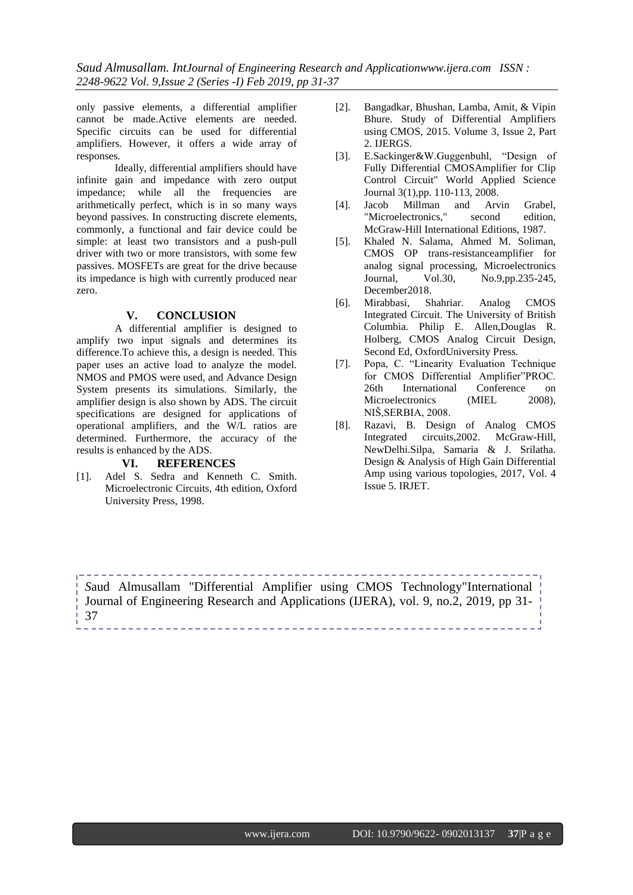only passive elements, a differential amplifier cannot be made.Active elements are needed. Specific circuits can be used for differential amplifiers. However, it offers a wide array of responses.

Ideally, differential amplifiers should have infinite gain and impedance with zero output impedance; while all the frequencies are arithmetically perfect, which is in so many ways beyond passives. In constructing discrete elements, commonly, a functional and fair device could be simple: at least two transistors and a push-pull driver with two or more transistors, with some few passives. MOSFETs are great for the drive because its impedance is high with currently produced near zero.

## **V. CONCLUSION**

A differential amplifier is designed to amplify two input signals and determines its difference.To achieve this, a design is needed. This paper uses an active load to analyze the model. NMOS and PMOS were used, and Advance Design System presents its simulations. Similarly, the amplifier design is also shown by ADS. The circuit specifications are designed for applications of operational amplifiers, and the W/L ratios are determined. Furthermore, the accuracy of the results is enhanced by the ADS.

## **VI. REFERENCES**

[1]. Adel S. Sedra and Kenneth C. Smith. Microelectronic Circuits, 4th edition, Oxford University Press, 1998.

- [2]. Bangadkar, Bhushan, Lamba, Amit, & Vipin Bhure. Study of Differential Amplifiers using CMOS, 2015. Volume 3, Issue 2, Part 2. IJERGS.
- [3]. E.Sackinger&W.Guggenbuhl, "Design of Fully Differential CMOSAmplifier for Clip Control Circuit" World Applied Science Journal 3(1),pp. 110-113, 2008.
- [4]. Jacob Millman and Arvin Grabel, "Microelectronics," second edition, McGraw-Hill International Editions, 1987.
- [5]. Khaled N. Salama, Ahmed M. Soliman, CMOS OP trans-resistanceamplifier for analog signal processing, Microelectronics Journal, Vol.30, No.9,pp.235-245, December2018.
- [6]. Mirabbasi, Shahriar. Analog CMOS Integrated Circuit. The University of British Columbia. Philip E. Allen,Douglas R. Holberg, CMOS Analog Circuit Design, Second Ed, OxfordUniversity Press.
- [7]. Popa, C. "Linearity Evaluation Technique for CMOS Differential Amplifier"PROC. 26th International Conference on Microelectronics (MIEL 2008), NIŠ,SERBIA, 2008.
- [8]. Razavi, B. Design of Analog CMOS Integrated circuits,2002. McGraw-Hill, NewDelhi.Silpa, Samaria & J. Srilatha. Design & Analysis of High Gain Differential Amp using various topologies, 2017, Vol. 4 Issue 5. IRJET.

*S*aud Almusallam "Differential Amplifier using CMOS Technology"International Journal of Engineering Research and Applications (IJERA), vol. 9, no.2, 2019, pp 31- 37